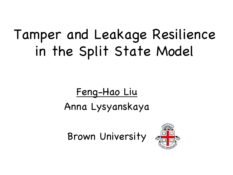# Tamper and Leakage Resilience in the Split State Model

#### Feng-Hao Liu Anna Lysyanskaya

Brown University

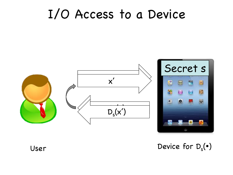#### I/O Access to a Device



User Device for  $D_s(\cdot)$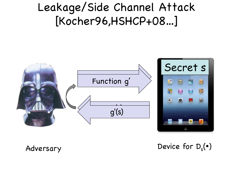#### Leakage/Side Channel Attack [Kocher96,HSHCP+08…]



Adversary Device for  $D_s(\cdot)$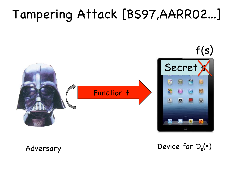### Tampering Attack [BS97,AARR02…]



Adversary Device for  $D_s(\cdot)$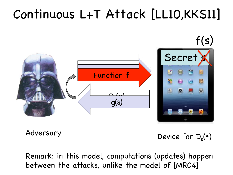## Continuous L+T Attack [LL10,KKS11]



Adversary Device for D<sub>s</sub>( $\bullet$ )

Remark: in this model, computations (updates) happen between the attacks, unlike the model of [MR04]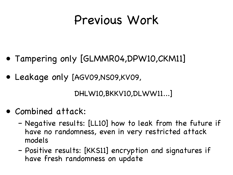#### Previous Work

- Tampering only [GLMMR04,DPW10,CKM11]
- Leakage only [AGV09,NS09,KV09,

DHLW10,BKKV10,DLWW11...]

- Combined attack:
	- Negative results: [LL10] how to leak from the future if have no randomness, even in very restricted attack models
	- Positive results: [KKS11] encryption and signatures if have fresh randomness on update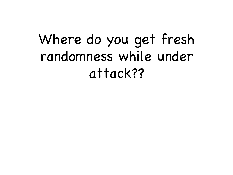# Where do you get fresh randomness while under attack??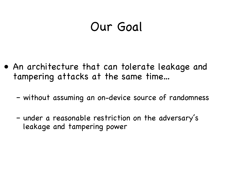#### Our Goal

- An architecture that can tolerate leakage and tampering attacks at the same time…
	- without assuming an on-device source of randomness
	- under a reasonable restriction on the adversary's leakage and tampering power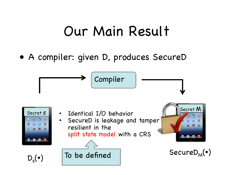#### Our Main Result

• A compiler: given D, produces SecureD

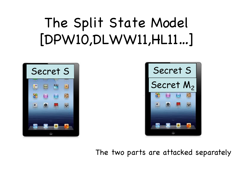# The Split State Model [DPW10,DLWW11,HL11…]





The two parts are attacked separately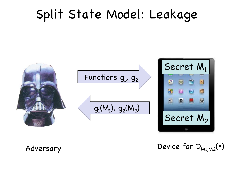#### Split State Model: Leakage



 $\Delta$ dversary Device for  $D_{M1,M2}(\cdot)$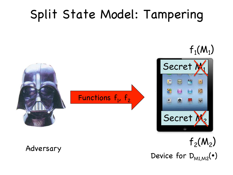### Split State Model: Tampering

Functions  ${\sf f}_{\sf 1}$ ,  ${\sf f}_{\sf 2}$ 

Secret M Secret |  $f_1(M_1)$ 

Adversary Device for  $D_{\text{MLM2}}(\cdot)$  $f_2(M_2)$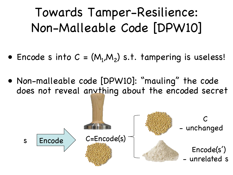## Towards Tamper-Resilience: Non-Malleable Code [DPW10]

- Encode s into  $C = (M_1, M_2)$  s.t. tampering is useless!
- Non-malleable code [DPW10]: "mauling" the code does not reveal anything about the encoded secret

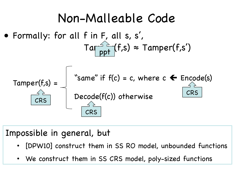#### Non-Malleable Code

• Formally: for all f in F, all s, s',  $Taf_{\text{net}}^{\text{max}}(f,s) \approx Tamper(f,s')$ ppt



#### Impossible in general, but

- [DPW10] construct them in SS RO model, unbounded functions
- We construct them in SS CRS model, poly-sized functions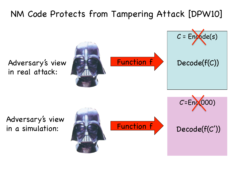#### NM Code Protects from Tampering Attack [DPW10]

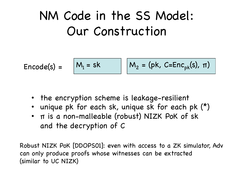### NM Code in the SS Model: Our Construction

$$
Encode(s) = \boxed{M_1 = sk} \boxed{M_2 = (pk, C=Enc_{pk}(s), \pi)}
$$

- the encryption scheme is leakage-resilient
- unique pk for each sk, unique sk for each pk (\*)
- π is a non-malleable (robust) NIZK PoK of sk and the decryption of C

Robust NIZK PoK [DDOPS01]: even with access to a ZK simulator, Adv can only produce proofs whose witnesses can be extracted (similar to UC NIZK)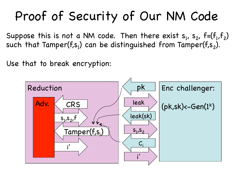### Proof of Security of Our NM Code

Suppose this is not a NM code. Then there exist  $s_1$ ,  $s_2$ ,  $f=(f_1,f_2)$ such that Tamper(f,s $_{\rm l}$ ) can be distinguished from Tamper(f,s $_{\rm 2}$ ).

Use that to break encryption:

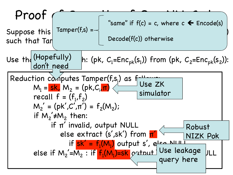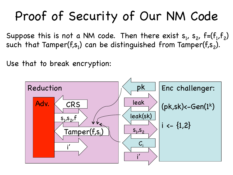### Proof of Security of Our NM Code

Suppose this is not a NM code. Then there exist  $s_1$ ,  $s_2$ ,  $f=(f_1,f_2)$ such that Tamper(f,s $_{\rm l}$ ) can be distinguished from Tamper(f,s $_{\rm 2}$ ).

Use that to break encryption:

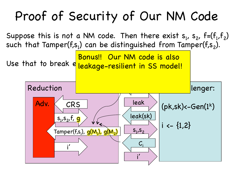## Proof of Security of Our NM Code

Suppose this is not a NM code. Then there exist  $s_1$ ,  $s_2$ ,  $f=(f_1,f_2)$ such that Tamper(f,s $_{\rm l}$ ) can be distinguished from Tamper(f,s $_{\rm 2}$ ).

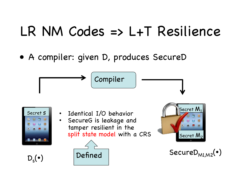# LR NM Codes => L+T Resilience

• A compiler: given D, produces SecureD

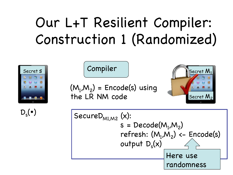# Our L+T Resilient Compiler: Construction 1 (Randomized)



$$
(M_1, M_2) = \text{Encode}(s) \text{ using} the LR NM code
$$

Compiler



$$
\mathsf{D}_\mathsf{s}(\bullet)
$$

$$
D_s(\bullet)
$$
  
\n
$$
S = Decode(M_1, M_2)
$$
\n
$$
s = Decode(M_1, M_2)
$$
\n
$$
refresh: (M_1, M_2) \leftarrow Encode(s)
$$
\n
$$
output D_s(x)
$$
\nHere use  
\n
$$
randomness
$$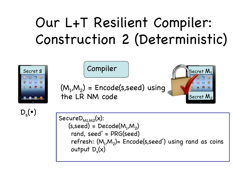# Our L+T Resilient Compiler: Construction 2 (Deterministic)



$$
\mathsf{D}_\mathsf{s}(\bullet)
$$

SecureD $_{MLM2}(x)$ : (s,seed) = Decode(M $_{\textrm{\scriptsize{1}}}$ ,M $_{\textrm{\scriptsize{2}}}$ ) rand, seed' = PRG(seed) refresh: (M $_{\textrm{\tiny{l}}}$ ,M $_{\textrm{\tiny{2}}}$ )= Encode(s,seed') using rand as coins output  $D_s(x)$